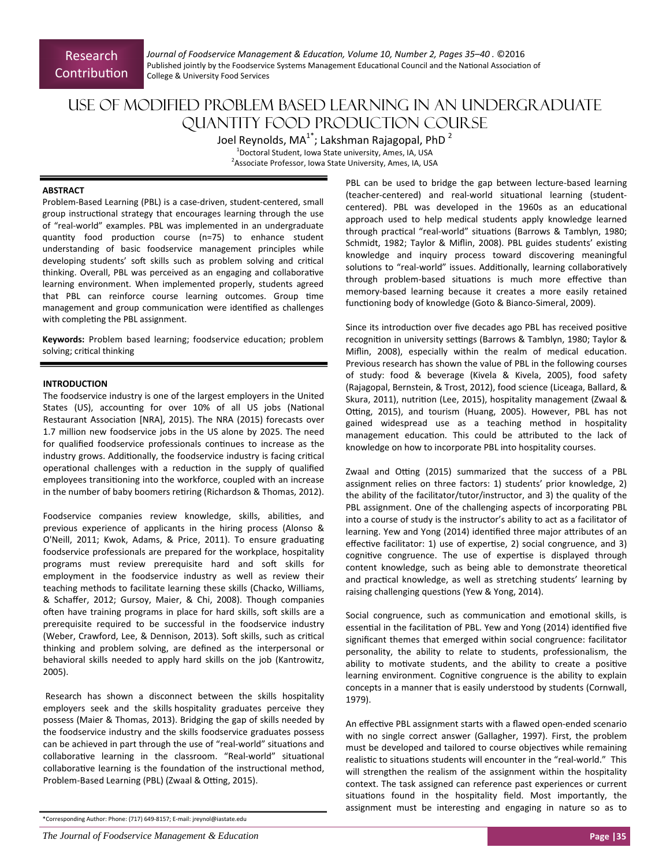*Journal of Foodservice Management & EducaƟon, Volume 10, Number 2, Pages 35–40 .* ©2016 Published jointly by the Foodservice Systems Management Educational Council and the National Association of College & University Food Services

# Use of Modified Problem Based Learning in an Undergraduate Quantity Food Production Course

Joel Reynolds, MA<sup>1\*</sup>; Lakshman Rajagopal, PhD <sup>2</sup> 1 Doctoral Student, Iowa State university, Ames, IA, USA <sup>2</sup> Associate Professor, Iowa State University, Ames, IA, USA

## **ABSTRACT**

Problem‐Based Learning (PBL) is a case‐driven, student‐centered, small group instructional strategy that encourages learning through the use of "real‐world" examples. PBL was implemented in an undergraduate quantity food production course (n=75) to enhance student understanding of basic foodservice management principles while developing students' soft skills such as problem solving and critical thinking. Overall, PBL was perceived as an engaging and collaborative learning environment. When implemented properly, students agreed that PBL can reinforce course learning outcomes. Group time management and group communication were identified as challenges with completing the PBL assignment.

Keywords: Problem based learning; foodservice education; problem solving; critical thinking

## **INTRODUCTION**

The foodservice industry is one of the largest employers in the United States (US), accounting for over 10% of all US jobs (National Restaurant Association [NRA], 2015). The NRA (2015) forecasts over 1.7 million new foodservice jobs in the US alone by 2025. The need for qualified foodservice professionals continues to increase as the industry grows. Additionally, the foodservice industry is facing critical operational challenges with a reduction in the supply of qualified employees transitioning into the workforce, coupled with an increase in the number of baby boomers retiring (Richardson & Thomas, 2012).

Foodservice companies review knowledge, skills, abilities, and previous experience of applicants in the hiring process (Alonso & O'Neill, 2011; Kwok, Adams, & Price, 2011). To ensure graduating foodservice professionals are prepared for the workplace, hospitality programs must review prerequisite hard and soft skills for employment in the foodservice industry as well as review their teaching methods to facilitate learning these skills (Chacko, Williams, & Schaffer, 2012; Gursoy, Maier, & Chi, 2008). Though companies often have training programs in place for hard skills, soft skills are a prerequisite required to be successful in the foodservice industry (Weber, Crawford, Lee, & Dennison, 2013). Soft skills, such as critical thinking and problem solving, are defined as the interpersonal or behavioral skills needed to apply hard skills on the job (Kantrowitz, 2005).

Research has shown a disconnect between the skills hospitality employers seek and the skills hospitality graduates perceive they possess (Maier & Thomas, 2013). Bridging the gap of skills needed by the foodservice industry and the skills foodservice graduates possess can be achieved in part through the use of "real-world" situations and collaborative learning in the classroom. "Real-world" situational collaborative learning is the foundation of the instructional method, Problem-Based Learning (PBL) (Zwaal & Otting, 2015).

PBL can be used to bridge the gap between lecture-based learning (teacher-centered) and real-world situational learning (studentcentered). PBL was developed in the 1960s as an educational approach used to help medical students apply knowledge learned through practical "real-world" situations (Barrows & Tamblyn, 1980; Schmidt, 1982; Taylor & Miflin, 2008). PBL guides students' existing knowledge and inquiry process toward discovering meaningful solutions to "real-world" issues. Additionally, learning collaboratively through problem-based situations is much more effective than memory‐based learning because it creates a more easily retained functioning body of knowledge (Goto & Bianco-Simeral, 2009).

Since its introduction over five decades ago PBL has received positive recognition in university settings (Barrows & Tamblyn, 1980; Taylor & Miflin, 2008), especially within the realm of medical education. Previous research has shown the value of PBL in the following courses of study: food & beverage (Kivela & Kivela, 2005), food safety (Rajagopal, Bernstein, & Trost, 2012), food science (Liceaga, Ballard, & Skura, 2011), nutrition (Lee, 2015), hospitality management (Zwaal & Otting, 2015), and tourism (Huang, 2005). However, PBL has not gained widespread use as a teaching method in hospitality management education. This could be attributed to the lack of knowledge on how to incorporate PBL into hospitality courses.

Zwaal and Otting (2015) summarized that the success of a PBL assignment relies on three factors: 1) students' prior knowledge, 2) the ability of the facilitator/tutor/instructor, and 3) the quality of the PBL assignment. One of the challenging aspects of incorporating PBL into a course of study is the instructor's ability to act as a facilitator of learning. Yew and Yong (2014) identified three major attributes of an effective facilitator: 1) use of expertise, 2) social congruence, and 3) cognitive congruence. The use of expertise is displayed through content knowledge, such as being able to demonstrate theoretical and practical knowledge, as well as stretching students' learning by raising challenging questions (Yew & Yong, 2014).

Social congruence, such as communication and emotional skills, is essential in the facilitation of PBL. Yew and Yong (2014) identified five significant themes that emerged within social congruence: facilitator personality, the ability to relate to students, professionalism, the ability to motivate students, and the ability to create a positive learning environment. Cognitive congruence is the ability to explain concepts in a manner that is easily understood by students (Cornwall, 1979).

An effective PBL assignment starts with a flawed open-ended scenario with no single correct answer (Gallagher, 1997). First, the problem must be developed and tailored to course objectives while remaining realistic to situations students will encounter in the "real-world." This will strengthen the realism of the assignment within the hospitality context. The task assigned can reference past experiences or current situations found in the hospitality field. Most importantly, the assignment must be interesting and engaging in nature so as to

*The Journal of Foodservice Management & Education* **Page | 35 <b>Page | 25 Page | 25 Page | 25 Page | 25 Page | 25 Page | 25 Page | 25 Page | 25 Page | 25 Page | 25 Page | 25 Page | 25 Page | 25 Pa** 

<sup>\*</sup>Corresponding Author: Phone: (717) 649‐8157; E‐mail: jreynol@iastate.edu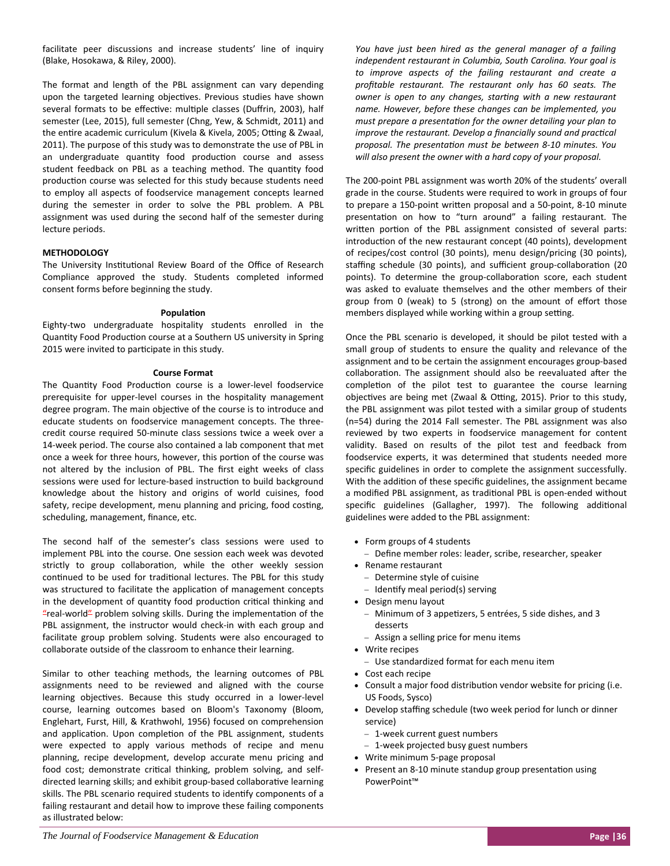facilitate peer discussions and increase students' line of inquiry (Blake, Hosokawa, & Riley, 2000).

The format and length of the PBL assignment can vary depending upon the targeted learning objectives. Previous studies have shown several formats to be effective: multiple classes (Duffrin, 2003), half semester (Lee, 2015), full semester (Chng, Yew, & Schmidt, 2011) and the entire academic curriculum (Kivela & Kivela, 2005; Otting & Zwaal, 2011). The purpose of this study was to demonstrate the use of PBL in an undergraduate quantity food production course and assess student feedback on PBL as a teaching method. The quantity food production course was selected for this study because students need to employ all aspects of foodservice management concepts learned during the semester in order to solve the PBL problem. A PBL assignment was used during the second half of the semester during lecture periods.

# **METHODOLOGY**

The University Institutional Review Board of the Office of Research Compliance approved the study. Students completed informed consent forms before beginning the study.

## **PopulaƟon**

Eighty‐two undergraduate hospitality students enrolled in the Quantity Food Production course at a Southern US university in Spring 2015 were invited to participate in this study.

#### **Course Format**

The Quantity Food Production course is a lower-level foodservice prerequisite for upper‐level courses in the hospitality management degree program. The main objective of the course is to introduce and educate students on foodservice management concepts. The three‐ credit course required 50‐minute class sessions twice a week over a 14‐week period. The course also contained a lab component that met once a week for three hours, however, this portion of the course was not altered by the inclusion of PBL. The first eight weeks of class sessions were used for lecture-based instruction to build background knowledge about the history and origins of world cuisines, food safety, recipe development, menu planning and pricing, food costing, scheduling, management, finance, etc.

The second half of the semester's class sessions were used to implement PBL into the course. One session each week was devoted strictly to group collaboration, while the other weekly session continued to be used for traditional lectures. The PBL for this study was structured to facilitate the application of management concepts in the development of quantity food production critical thinking and "real-world" problem solving skills. During the implementation of the PBL assignment, the instructor would check-in with each group and facilitate group problem solving. Students were also encouraged to collaborate outside of the classroom to enhance their learning.

Similar to other teaching methods, the learning outcomes of PBL assignments need to be reviewed and aligned with the course learning objectives. Because this study occurred in a lower-level course, learning outcomes based on Bloom's Taxonomy (Bloom, Englehart, Furst, Hill, & Krathwohl, 1956) focused on comprehension and application. Upon completion of the PBL assignment, students were expected to apply various methods of recipe and menu planning, recipe development, develop accurate menu pricing and food cost; demonstrate critical thinking, problem solving, and selfdirected learning skills; and exhibit group-based collaborative learning skills. The PBL scenario required students to identify components of a failing restaurant and detail how to improve these failing components as illustrated below:

*You have just been hired as the general manager of a failing independent restaurant in Columbia, South Carolina. Your goal is to improve aspects of the failing restaurant and create a profitable restaurant. The restaurant only has 60 seats. The owner is open to any changes, starƟng with a new restaurant name. However, before these changes can be implemented, you must prepare a presentaƟon for the owner detailing your plan to improve the restaurant. Develop a financially sound and practical proposal. The presentaƟon must be between 8‐10 minutes. You will also present the owner with a hard copy of your proposal.* 

The 200‐point PBL assignment was worth 20% of the students' overall grade in the course. Students were required to work in groups of four to prepare a 150-point written proposal and a 50-point, 8-10 minute presentation on how to "turn around" a failing restaurant. The written portion of the PBL assignment consisted of several parts: introduction of the new restaurant concept (40 points), development of recipes/cost control (30 points), menu design/pricing (30 points), staffing schedule (30 points), and sufficient group-collaboration (20 points). To determine the group-collaboration score, each student was asked to evaluate themselves and the other members of their group from 0 (weak) to 5 (strong) on the amount of effort those members displayed while working within a group setting.

Once the PBL scenario is developed, it should be pilot tested with a small group of students to ensure the quality and relevance of the assignment and to be certain the assignment encourages group‐based collaboration. The assignment should also be reevaluated after the completion of the pilot test to guarantee the course learning objectives are being met (Zwaal & Otting, 2015). Prior to this study, the PBL assignment was pilot tested with a similar group of students (n=54) during the 2014 Fall semester. The PBL assignment was also reviewed by two experts in foodservice management for content validity. Based on results of the pilot test and feedback from foodservice experts, it was determined that students needed more specific guidelines in order to complete the assignment successfully. With the addition of these specific guidelines, the assignment became a modified PBL assignment, as traditional PBL is open-ended without specific guidelines (Gallagher, 1997). The following additional guidelines were added to the PBL assignment:

- Form groups of 4 students
- Define member roles: leader, scribe, researcher, speaker
- Rename restaurant
	- Determine style of cuisine
	- Identify meal period(s) serving
- Design menu layout
	- Minimum of 3 appetizers, 5 entrées, 5 side dishes, and 3 desserts
	- Assign a selling price for menu items
- Write recipes
	- Use standardized format for each menu item
- Cost each recipe
- Consult a major food distribution vendor website for pricing (i.e. US Foods, Sysco)
- Develop staffing schedule (two week period for lunch or dinner service)
	- 1-week current guest numbers
	- 1-week projected busy guest numbers
- Write minimum 5‐page proposal
- Present an 8-10 minute standup group presentation using PowerPoint™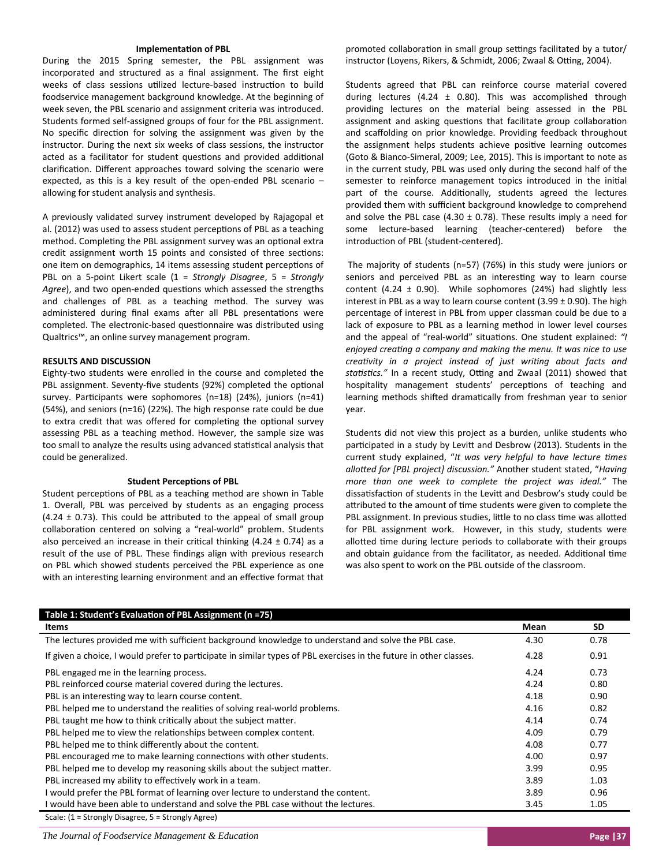#### **ImplementaƟon of PBL**

During the 2015 Spring semester, the PBL assignment was incorporated and structured as a final assignment. The first eight weeks of class sessions utilized lecture-based instruction to build foodservice management background knowledge. At the beginning of week seven, the PBL scenario and assignment criteria was introduced. Students formed self‐assigned groups of four for the PBL assignment. No specific direction for solving the assignment was given by the instructor. During the next six weeks of class sessions, the instructor acted as a facilitator for student questions and provided additional clarification. Different approaches toward solving the scenario were expected, as this is a key result of the open-ended PBL scenario allowing for student analysis and synthesis.

A previously validated survey instrument developed by Rajagopal et al. (2012) was used to assess student perceptions of PBL as a teaching method. Completing the PBL assignment survey was an optional extra credit assignment worth 15 points and consisted of three sections: one item on demographics, 14 items assessing student perceptions of PBL on a 5‐point Likert scale (1 = *Strongly Disagree*, 5 = *Strongly* Agree), and two open-ended questions which assessed the strengths and challenges of PBL as a teaching method. The survey was administered during final exams after all PBL presentations were completed. The electronic-based questionnaire was distributed using Qualtrics™, an online survey management program.

# **RESULTS AND DISCUSSION**

Eighty‐two students were enrolled in the course and completed the PBL assignment. Seventy-five students (92%) completed the optional survey. Participants were sophomores (n=18) (24%), juniors (n=41) (54%), and seniors (n=16) (22%). The high response rate could be due to extra credit that was offered for completing the optional survey assessing PBL as a teaching method. However, the sample size was too small to analyze the results using advanced statistical analysis that could be generalized.

#### **Student Perceptions of PBL**

Student perceptions of PBL as a teaching method are shown in Table 1. Overall, PBL was perceived by students as an engaging process (4.24  $\pm$  0.73). This could be attributed to the appeal of small group collaboration centered on solving a "real-world" problem. Students also perceived an increase in their critical thinking (4.24  $\pm$  0.74) as a result of the use of PBL. These findings align with previous research on PBL which showed students perceived the PBL experience as one with an interesting learning environment and an effective format that promoted collaboration in small group settings facilitated by a tutor/ instructor (Loyens, Rikers, & Schmidt, 2006; Zwaal & Otting, 2004).

Students agreed that PBL can reinforce course material covered during lectures (4.24  $\pm$  0.80). This was accomplished through providing lectures on the material being assessed in the PBL assignment and asking questions that facilitate group collaboration and scaffolding on prior knowledge. Providing feedback throughout the assignment helps students achieve positive learning outcomes (Goto & Bianco‐Simeral, 2009; Lee, 2015). This is important to note as in the current study, PBL was used only during the second half of the semester to reinforce management topics introduced in the initial part of the course. Additionally, students agreed the lectures provided them with sufficient background knowledge to comprehend and solve the PBL case (4.30  $\pm$  0.78). These results imply a need for some lecture-based learning (teacher-centered) before the introduction of PBL (student-centered).

The majority of students (n=57) (76%) in this study were juniors or seniors and perceived PBL as an interesting way to learn course content (4.24  $\pm$  0.90). While sophomores (24%) had slightly less interest in PBL as a way to learn course content (3.99  $\pm$  0.90). The high percentage of interest in PBL from upper classman could be due to a lack of exposure to PBL as a learning method in lower level courses and the appeal of "real-world" situations. One student explained: "I *enjoyed creaƟng a company and making the menu. It was nice to use creaƟvity in a project instead of just wriƟng about facts and* statistics." In a recent study, Otting and Zwaal (2011) showed that hospitality management students' perceptions of teaching and learning methods shifted dramatically from freshman year to senior year.

Students did not view this project as a burden, unlike students who participated in a study by Levitt and Desbrow (2013). Students in the current study explained, "*It was very helpful to have lecture Ɵmes alloƩed for [PBL project] discussion."* Another student stated, "*Having more than one week to complete the project was ideal."* The dissatisfaction of students in the Levitt and Desbrow's study could be attributed to the amount of time students were given to complete the PBL assignment. In previous studies, little to no class time was allotted for PBL assignment work. However, in this study, students were allotted time during lecture periods to collaborate with their groups and obtain guidance from the facilitator, as needed. Additional time was also spent to work on the PBL outside of the classroom.

| Table 1: Student's Evaluation of PBL Assignment (n =75)                                                            |      |      |  |
|--------------------------------------------------------------------------------------------------------------------|------|------|--|
| Items                                                                                                              | Mean | SD.  |  |
| The lectures provided me with sufficient background knowledge to understand and solve the PBL case.                | 4.30 | 0.78 |  |
| If given a choice, I would prefer to participate in similar types of PBL exercises in the future in other classes. | 4.28 | 0.91 |  |
| PBL engaged me in the learning process.                                                                            | 4.24 | 0.73 |  |
| PBL reinforced course material covered during the lectures.                                                        | 4.24 | 0.80 |  |
| PBL is an interesting way to learn course content.                                                                 | 4.18 | 0.90 |  |
| PBL helped me to understand the realities of solving real-world problems.                                          | 4.16 | 0.82 |  |
| PBL taught me how to think critically about the subject matter.                                                    | 4.14 | 0.74 |  |
| PBL helped me to view the relationships between complex content.                                                   | 4.09 | 0.79 |  |
| PBL helped me to think differently about the content.                                                              | 4.08 | 0.77 |  |
| PBL encouraged me to make learning connections with other students.                                                | 4.00 | 0.97 |  |
| PBL helped me to develop my reasoning skills about the subject matter.                                             | 3.99 | 0.95 |  |
| PBL increased my ability to effectively work in a team.                                                            | 3.89 | 1.03 |  |
| I would prefer the PBL format of learning over lecture to understand the content.                                  | 3.89 | 0.96 |  |
| I would have been able to understand and solve the PBL case without the lectures.                                  | 3.45 | 1.05 |  |
| Scale: (1 = Strongly Disagree, 5 = Strongly Agree)                                                                 |      |      |  |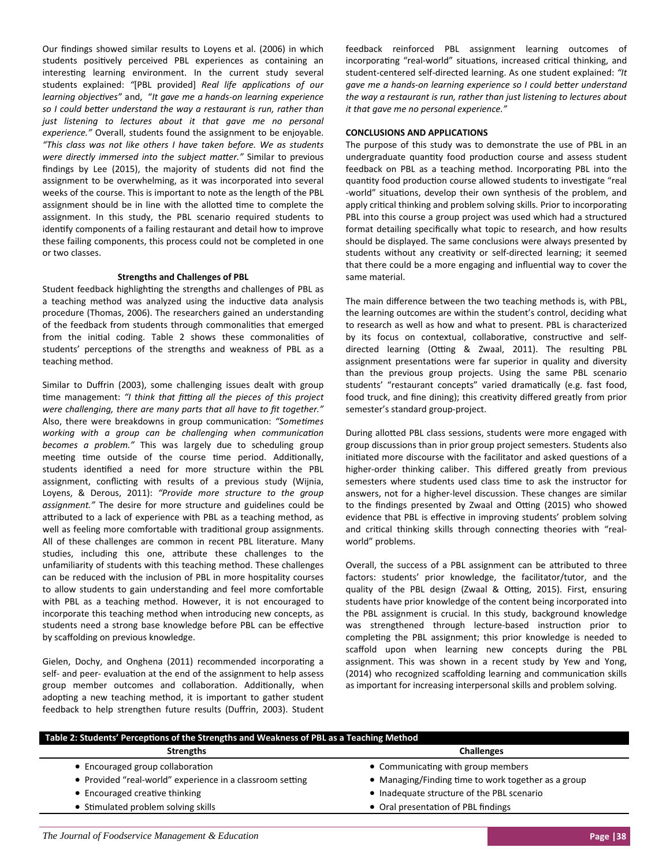Our findings showed similar results to Loyens et al. (2006) in which students positively perceived PBL experiences as containing an interesting learning environment. In the current study several students explained: *"*[PBL provided] *Real life applicaƟons of our learning objecƟves"* and, "*It gave me a hands‐on learning experience so I could beƩer understand the way a restaurant is run, rather than just listening to lectures about it that gave me no personal experience."* Overall, students found the assignment to be enjoyable. *"This class was not like others I have taken before. We as students were directly immersed into the subject maƩer."* Similar to previous findings by Lee (2015), the majority of students did not find the assignment to be overwhelming, as it was incorporated into several weeks of the course. This is important to note as the length of the PBL assignment should be in line with the allotted time to complete the assignment. In this study, the PBL scenario required students to identify components of a failing restaurant and detail how to improve these failing components, this process could not be completed in one or two classes.

## **Strengths and Challenges of PBL**

Student feedback highlighting the strengths and challenges of PBL as a teaching method was analyzed using the inductive data analysis procedure (Thomas, 2006). The researchers gained an understanding of the feedback from students through commonalities that emerged from the initial coding. Table 2 shows these commonalities of students' perceptions of the strengths and weakness of PBL as a teaching method.

Similar to Duffrin (2003), some challenging issues dealt with group Ɵme management: *"I think that fiƫng all the pieces of this project were challenging, there are many parts that all have to fit together."* Also, there were breakdowns in group communication: "Sometimes *working with a group can be challenging when communicaƟon becomes a problem."* This was largely due to scheduling group meeting time outside of the course time period. Additionally, students identified a need for more structure within the PBL assignment, conflicting with results of a previous study (Wijnia, Loyens, & Derous, 2011): *"Provide more structure to the group assignment."* The desire for more structure and guidelines could be attributed to a lack of experience with PBL as a teaching method, as well as feeling more comfortable with traditional group assignments. All of these challenges are common in recent PBL literature. Many studies, including this one, attribute these challenges to the unfamiliarity of students with this teaching method. These challenges can be reduced with the inclusion of PBL in more hospitality courses to allow students to gain understanding and feel more comfortable with PBL as a teaching method. However, it is not encouraged to incorporate this teaching method when introducing new concepts, as students need a strong base knowledge before PBL can be effective by scaffolding on previous knowledge.

Gielen, Dochy, and Onghena (2011) recommended incorporating a self- and peer- evaluation at the end of the assignment to help assess group member outcomes and collaboration. Additionally, when adopting a new teaching method, it is important to gather student feedback to help strengthen future results (Duffrin, 2003). Student feedback reinforced PBL assignment learning outcomes of incorporating "real-world" situations, increased critical thinking, and student‐centered self‐directed learning. As one student explained: *"It gave me a hands‐on learning experience so I could beƩer understand the way a restaurant is run, rather than just listening to lectures about it that gave me no personal experience."*

### **CONCLUSIONS AND APPLICATIONS**

The purpose of this study was to demonstrate the use of PBL in an undergraduate quantity food production course and assess student feedback on PBL as a teaching method. Incorporating PBL into the quantity food production course allowed students to investigate "real -world" situations, develop their own synthesis of the problem, and apply critical thinking and problem solving skills. Prior to incorporating PBL into this course a group project was used which had a structured format detailing specifically what topic to research, and how results should be displayed. The same conclusions were always presented by students without any creativity or self-directed learning; it seemed that there could be a more engaging and influential way to cover the same material.

The main difference between the two teaching methods is, with PBL, the learning outcomes are within the student's control, deciding what to research as well as how and what to present. PBL is characterized by its focus on contextual, collaborative, constructive and selfdirected learning (Otting & Zwaal, 2011). The resulting PBL assignment presentations were far superior in quality and diversity than the previous group projects. Using the same PBL scenario students' "restaurant concepts" varied dramatically (e.g. fast food, food truck, and fine dining); this creativity differed greatly from prior semester's standard group‐project.

During allotted PBL class sessions, students were more engaged with group discussions than in prior group project semesters. Students also initiated more discourse with the facilitator and asked questions of a higher-order thinking caliber. This differed greatly from previous semesters where students used class time to ask the instructor for answers, not for a higher‐level discussion. These changes are similar to the findings presented by Zwaal and Otting (2015) who showed evidence that PBL is effective in improving students' problem solving and critical thinking skills through connecting theories with "realworld" problems.

Overall, the success of a PBL assignment can be attributed to three factors: students' prior knowledge, the facilitator/tutor, and the quality of the PBL design (Zwaal & Otting, 2015). First, ensuring students have prior knowledge of the content being incorporated into the PBL assignment is crucial. In this study, background knowledge was strengthened through lecture-based instruction prior to completing the PBL assignment; this prior knowledge is needed to scaffold upon when learning new concepts during the PBL assignment. This was shown in a recent study by Yew and Yong, (2014) who recognized scaffolding learning and communication skills as important for increasing interpersonal skills and problem solving.

| Table 2: Students' Perceptions of the Strengths and Weakness of PBL as a Teaching Method |                                                     |  |
|------------------------------------------------------------------------------------------|-----------------------------------------------------|--|
| <b>Strengths</b>                                                                         | <b>Challenges</b>                                   |  |
| • Encouraged group collaboration                                                         | • Communicating with group members                  |  |
| • Provided "real-world" experience in a classroom setting                                | • Managing/Finding time to work together as a group |  |
| • Encouraged creative thinking                                                           | • Inadequate structure of the PBL scenario          |  |
| • Stimulated problem solving skills                                                      | • Oral presentation of PBL findings                 |  |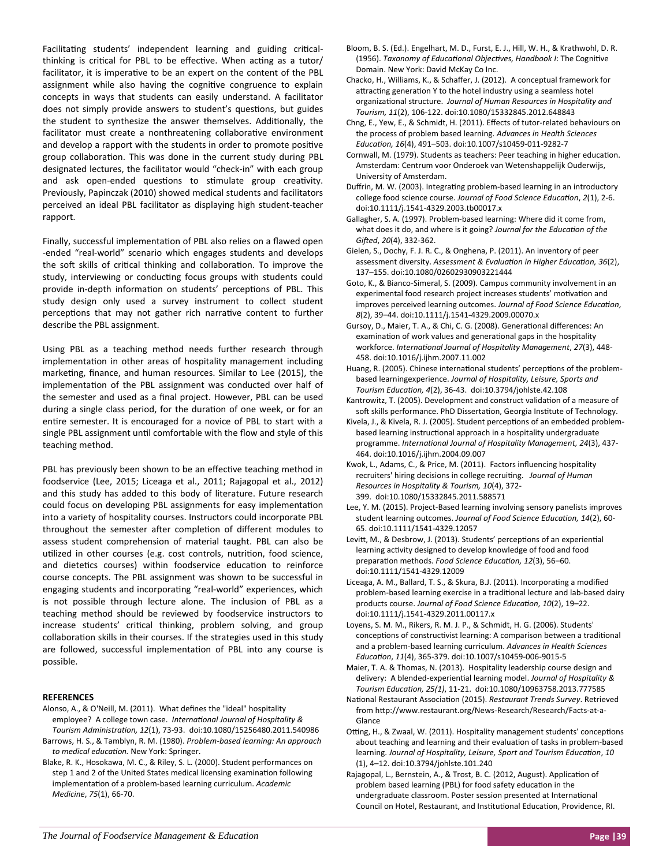Facilitating students' independent learning and guiding criticalthinking is critical for PBL to be effective. When acting as a tutor/ facilitator, it is imperative to be an expert on the content of the PBL assignment while also having the cognitive congruence to explain concepts in ways that students can easily understand. A facilitator does not simply provide answers to student's questions, but guides the student to synthesize the answer themselves. Additionally, the facilitator must create a nonthreatening collaborative environment and develop a rapport with the students in order to promote positive group collaboration. This was done in the current study during PBL designated lectures, the facilitator would "check‐in" with each group and ask open-ended questions to stimulate group creativity. Previously, Papinczak (2010) showed medical students and facilitators perceived an ideal PBL facilitator as displaying high student‐teacher rapport.

Finally, successful implementation of PBL also relies on a flawed open ‐ended "real‐world" scenario which engages students and develops the soft skills of critical thinking and collaboration. To improve the study, interviewing or conducting focus groups with students could provide in-depth information on students' perceptions of PBL. This study design only used a survey instrument to collect student perceptions that may not gather rich narrative content to further describe the PBL assignment.

Using PBL as a teaching method needs further research through implementation in other areas of hospitality management including marketing, finance, and human resources. Similar to Lee (2015), the implementation of the PBL assignment was conducted over half of the semester and used as a final project. However, PBL can be used during a single class period, for the duration of one week, or for an entire semester. It is encouraged for a novice of PBL to start with a single PBL assignment until comfortable with the flow and style of this teaching method.

PBL has previously been shown to be an effective teaching method in foodservice (Lee, 2015; Liceaga et al., 2011; Rajagopal et al., 2012) and this study has added to this body of literature. Future research could focus on developing PBL assignments for easy implementation into a variety of hospitality courses. Instructors could incorporate PBL throughout the semester after completion of different modules to assess student comprehension of material taught. PBL can also be utilized in other courses (e.g. cost controls, nutrition, food science, and dietetics courses) within foodservice education to reinforce course concepts. The PBL assignment was shown to be successful in engaging students and incorporating "real-world" experiences, which is not possible through lecture alone. The inclusion of PBL as a teaching method should be reviewed by foodservice instructors to increase students' critical thinking, problem solving, and group collaboration skills in their courses. If the strategies used in this study are followed, successful implementation of PBL into any course is possible.

## **REFERENCES**

- Alonso, A., & O'Neill, M. (2011). What defines the "ideal" hospitality employee? A college town case. *InternaƟonal Journal of Hospitality & Tourism AdministraƟon, 12*(1), 73‐93. doi:10.1080/15256480.2011.540986
- Barrows, H. S., & Tamblyn, R. M. (1980). *Problem‐based learning: An approach to medical educaƟon.* New York: Springer.
- Blake, R. K., Hosokawa, M. C., & Riley, S. L. (2000). Student performances on step 1 and 2 of the United States medical licensing examination following implementaƟon of a problem‐based learning curriculum. *Academic Medicine*, *75*(1), 66‐70.

Bloom, B. S. (Ed.). Engelhart, M. D., Furst, E. J., Hill, W. H., & Krathwohl, D. R. (1956). *Taxonomy of EducaƟonal ObjecƟves, Handbook I*: The CogniƟve Domain. New York: David McKay Co Inc.

Chacko, H., Williams, K., & Schaffer, J. (2012). A conceptual framework for attracting generation Y to the hotel industry using a seamless hotel organizaƟonal structure. *Journal of Human Resources in Hospitality and Tourism, 11*(2), 106‐122. doi:10.1080/15332845.2012.648843

- Chng, E., Yew, E., & Schmidt, H. (2011). Effects of tutor‐related behaviours on the process of problem based learning. *Advances in Health Sciences EducaƟon, 16*(4), 491–503. doi:10.1007/s10459‐011‐9282‐7
- Cornwall, M. (1979). Students as teachers: Peer teaching in higher education. Amsterdam: Centrum voor Onderoek van Wetenshappelijk Ouderwijs, University of Amsterdam.
- Duffrin, M. W. (2003). Integrating problem-based learning in an introductory college food science course. *Journal of Food Science EducaƟon*, *2*(1), 2‐6. doi:10.1111/j.1541‐4329.2003.tb00017.x
- Gallagher, S. A. (1997). Problem‐based learning: Where did it come from, what does it do, and where is it going? Journal for the Education of the *GiŌed*, *20*(4), 332‐362.
- Gielen, S., Dochy, F. J. R. C., & Onghena, P. (2011). An inventory of peer assessment diversity. *Assessment & EvaluaƟon in Higher EducaƟon, 36*(2), 137–155. doi:10.1080/02602930903221444
- Goto, K., & Bianco‐Simeral, S. (2009). Campus community involvement in an experimental food research project increases students' motivation and improves perceived learning outcomes. *Journal of Food Science EducaƟon, 8*(2), 39–44. doi:10.1111/j.1541‐4329.2009.00070.x
- Gursoy, D., Maier, T. A., & Chi, C. G. (2008). Generational differences: An examination of work values and generational gaps in the hospitality workforce. *InternaƟonal Journal of Hospitality Management*, *27*(3), 448‐ 458. doi:10.1016/j.ijhm.2007.11.002
- Huang, R. (2005). Chinese international students' perceptions of the problembased learningexperience. *Journal of Hospitality, Leisure, Sports and Tourism EducaƟon, 4*(2), 36‐43. doi:10.3794/johlste.42.108
- Kantrowitz, T. (2005). Development and construct validation of a measure of soft skills performance. PhD Dissertation, Georgia Institute of Technology.
- Kivela, J., & Kivela, R. J. (2005). Student perceptions of an embedded problembased learning instructional approach in a hospitality undergraduate programme. *InternaƟonal Journal of Hospitality Management, 24*(3), 437‐ 464. doi:10.1016/j.ijhm.2004.09.007
- Kwok, L., Adams, C., & Price, M. (2011). Factors influencing hospitality recruiters' hiring decisions in college recruiƟng. *Journal of Human Resources in Hospitality & Tourism, 10*(4), 372‐ 399. doi:10.1080/15332845.2011.588571
- Lee, Y. M. (2015). Project‐Based learning involving sensory panelists improves student learning outcomes. *Journal of Food Science EducaƟon, 14*(2), 60‐ 65. doi:10.1111/1541‐4329.12057
- Levitt, M., & Desbrow, J. (2013). Students' perceptions of an experiential learning activity designed to develop knowledge of food and food preparaƟon methods. *Food Science EducaƟon, 12*(3), 56–60. doi:10.1111/1541‐4329.12009
- Liceaga, A. M., Ballard, T. S., & Skura, B.J. (2011). Incorporating a modified problem-based learning exercise in a traditional lecture and lab-based dairy products course. *Journal of Food Science EducaƟon, 10*(2), 19–22. doi:10.1111/j.1541‐4329.2011.00117.x
- Loyens, S. M. M., Rikers, R. M. J. P., & Schmidt, H. G. (2006). Students' conceptions of constructivist learning: A comparison between a traditional and a problem‐based learning curriculum. *Advances in Health Sciences EducaƟon*, *11*(4), 365‐379. doi:10.1007/s10459‐006‐9015‐5
- Maier, T. A. & Thomas, N. (2013). Hospitality leadership course design and delivery: A blended‐experienƟal learning model. *Journal of Hospitality & Tourism EducaƟon, 25(1)*, 11‐21. doi:10.1080/10963758.2013.777585
- NaƟonal Restaurant AssociaƟon (2015). *Restaurant Trends Survey*. Retrieved from http://www.restaurant.org/News-Research/Research/Facts-at-a-Glance
- Otting, H., & Zwaal, W. (2011). Hospitality management students' conceptions about teaching and learning and their evaluation of tasks in problem-based learning. *Journal of Hospitality, Leisure, Sport and Tourism EducaƟon*, *10* (1), 4–12. doi:10.3794/johlste.101.240
- Rajagopal, L., Bernstein, A., & Trost, B. C. (2012, August). Application of problem based learning (PBL) for food safety education in the undergraduate classroom. Poster session presented at International Council on Hotel, Restaurant, and Institutional Education, Providence, RI.